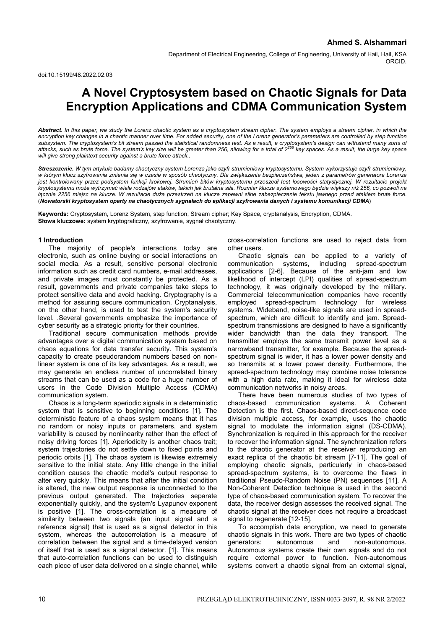# **A Novel Cryptosystem based on Chaotic Signals for Data Encryption Applications and CDMA Communication System**

*Abstract. In this paper, we study the Lorenz chaotic system as a cryptosystem stream cipher. The system employs a stream cipher, in which the encryption key changes in a chaotic manner over time. For added security, one of the Lorenz generator's parameters are controlled by step function*  subsystem. The cryptosystem's bit stream passed the statistical randomness test. As a result, a cryptosystem's design can withstand many sorts of<br>attacks, such as brute force. The system's key size will be greater than 256 *will give strong plaintext security against a brute force attack..* 

*Streszczenie. W tym artykule badamy chaotyczny system Lorenza jako szyfr strumieniowy kryptosystemu. System wykorzystuje szyfr strumieniowy, w którym klucz szyfrowania zmienia się w czasie w sposób chaotyczny. Dla zwiększenia bezpieczeństwa, jeden z parametrów generatora Lorenza jest kontrolowany przez podsystem funkcji krokowej. Strumień bitów kryptosystemu przeszedł test losowości statystycznej. W rezultacie projekt*  kryptosystemu może wytrzymać wiele rodzajów ataków, takich jak brutalna siła. Rozmiar klucza systemowego będzie większy niż 256, co pozwoli na *łącznie 2256 miejsc na klucze. W rezultacie duża przestrzeń na klucze zapewni silne zabezpieczenie tekstu jawnego przed atakiem brute force*. (*Nowatorski kryptosystem oparty na chaotycznych sygnałach do aplikacji szyfrowania danych i systemu komunikacji CDMA*)

**Keywords:** Cryptosystem, Lorenz System, step function, Stream cipher; Key Space, cryptanalysis, Encryption, CDMA. **Słowa kluczowe:** system kryptograficzny, szyfrowanie, sygnał chaotyczny.

# **1 Introduction**

The majority of people's interactions today are electronic, such as online buying or social interactions on social media. As a result, sensitive personal electronic information such as credit card numbers, e-mail addresses, and private images must constantly be protected. As a result, governments and private companies take steps to protect sensitive data and avoid hacking. Cryptography is a method for assuring secure communication. Cryptanalysis, on the other hand, is used to test the system's security level. .Several governments emphasize the importance of cyber security as a strategic priority for their countries.

Traditional secure communication methods provide advantages over a digital communication system based on chaos equations for data transfer security. This system's capacity to create pseudorandom numbers based on nonlinear system is one of its key advantages. As a result, we may generate an endless number of uncorrelated binary streams that can be used as a code for a huge number of users in the Code Division Multiple Access (CDMA) communication system.

Chaos is a long-term aperiodic signals in a deterministic system that is sensitive to beginning conditions [1]. The deterministic feature of a chaos system means that it has no random or noisy inputs or parameters, and system variability is caused by nonlinearity rather than the effect of noisy driving forces [1]. Aperiodicity is another chaos trait; system trajectories do not settle down to fixed points and periodic orbits [1]. The chaos system is likewise extremely sensitive to the initial state. Any little change in the initial condition causes the chaotic model's output response to alter very quickly. This means that after the initial condition is altered, the new output response is unconnected to the previous output generated. The trajectories separate exponentially quickly, and the system's Lyapunov exponent is positive [1]. The cross-correlation is a measure of similarity between two signals (an input signal and a reference signal) that is used as a signal detector in this system, whereas the autocorrelation is a measure of correlation between the signal and a time-delayed version of itself that is used as a signal detector. [1]. This means that auto-correlation functions can be used to distinguish each piece of user data delivered on a single channel, while

cross-correlation functions are used to reject data from other users.

Chaotic signals can be applied to a variety of communication systems, including spread-spectrum applications [2-6]. Because of the anti-jam and low likelihood of intercept (LPI) qualities of spread-spectrum technology, it was originally developed by the military. Commercial telecommunication companies have recently employed spread-spectrum technology for wireless systems. Wideband, noise-like signals are used in spreadspectrum, which are difficult to identify and jam. Spreadspectrum transmissions are designed to have a significantly wider bandwidth than the data they transport. The transmitter employs the same transmit power level as a narrowband transmitter, for example. Because the spreadspectrum signal is wider, it has a lower power density and so transmits at a lower power density. Furthermore, the spread-spectrum technology may combine noise tolerance with a high data rate, making it ideal for wireless data communication networks in noisy areas.

There have been numerous studies of two types of chaos-based communication systems. A Coherent Detection is the first. Chaos-based direct-sequence code division multiple access, for example, uses the chaotic signal to modulate the information signal (DS-CDMA). Synchronization is required in this approach for the receiver to recover the information signal. The synchronization refers to the chaotic generator at the receiver reproducing an exact replica of the chaotic bit stream [7-11]. The goal of employing chaotic signals, particularly in chaos-based spread-spectrum systems, is to overcome the flaws in traditional Pseudo-Random Noise (PN) sequences [11]. A Non-Coherent Detection technique is used in the second type of chaos-based communication system. To recover the data, the receiver design assesses the received signal. The chaotic signal at the receiver does not require a broadcast signal to regenerate [12-15].

To accomplish data encryption, we need to generate chaotic signals in this work. There are two types of chaotic generators: autonomous and non-autonomous. Autonomous systems create their own signals and do not require external power to function. Non-autonomous systems convert a chaotic signal from an external signal,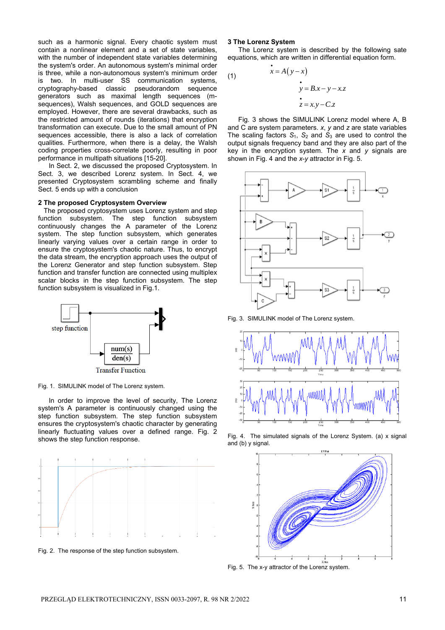such as a harmonic signal. Every chaotic system must contain a nonlinear element and a set of state variables, with the number of independent state variables determining the system's order. An autonomous system's minimal order is three, while a non-autonomous system's minimum order is two. In multi-user SS communication systems, cryptography-based classic pseudorandom sequence generators such as maximal length sequences (msequences), Walsh sequences, and GOLD sequences are employed. However, there are several drawbacks, such as the restricted amount of rounds (iterations) that encryption transformation can execute. Due to the small amount of PN sequences accessible, there is also a lack of correlation qualities. Furthermore, when there is a delay, the Walsh coding properties cross-correlate poorly, resulting in poor performance in multipath situations [15-20].

In Sect. 2, we discussed the proposed Cryptosystem. In Sect. 3, we described Lorenz system. In Sect. 4, we presented Cryptosystem scrambling scheme and finally Sect. 5 ends up with a conclusion

## **2 The proposed Cryptosystem Overview**

 The proposed cryptosystem uses Lorenz system and step function subsystem. The step function subsystem continuously changes the A parameter of the Lorenz system. The step function subsystem, which generates linearly varying values over a certain range in order to ensure the cryptosystem's chaotic nature. Thus, to encrypt the data stream, the encryption approach uses the output of the Lorenz Generator and step function subsystem. Step function and transfer function are connected using multiplex scalar blocks in the step function subsystem. The step function subsystem is visualized in Fig.1.



Fig. 1. SIMULINK model of The Lorenz system.

In order to improve the level of security, The Lorenz system's A parameter is continuously changed using the step function subsystem. The step function subsystem ensures the cryptosystem's chaotic character by generating linearly fluctuating values over a defined range. Fig. 2 shows the step function response.



Fig. 2. The response of the step function subsystem.

## **3 The Lorenz System**

The Lorenz system is described by the following sate equations, which are written in differential equation form.

(1)  

$$
\begin{aligned}\n\dot{x} &= A(y - x) \\
\dot{y} &= Bx - y - x.z \\
\dot{z} &= x.y - C.z\n\end{aligned}
$$

Fig. 3 shows the SIMULINK Lorenz model where A, B and C are system parameters. *x*, *y* and *z* are state variables The scaling factors  $S_1$ ,  $S_2$  and  $S_3$  are used to control the output signals frequency band and they are also part of the key in the encryption system. The *x* and *y* signals are shown in Fig. 4 and the *x*-*y* attractor in Fig. 5.



Fig. 3. SIMULINK model of The Lorenz system.



Fig. 4. The simulated signals of the Lorenz System. (a) x signal and (b) y signal.



Fig. 5. The x-y attractor of the Lorenz system.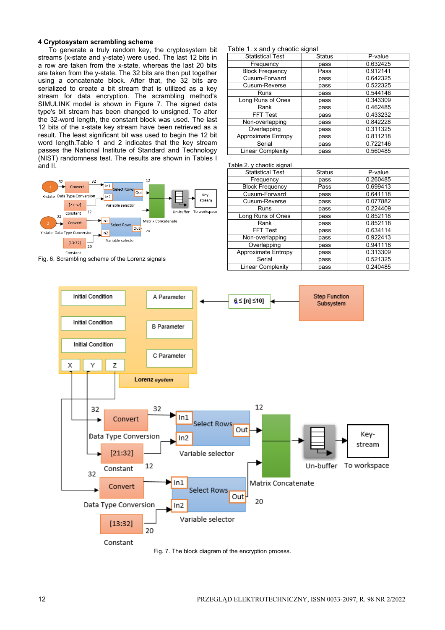# **4 Cryptosystem scrambling scheme**

To generate a truly random key, the cryptosystem bit streams (x-state and y-state) were used. The last 12 bits in a row are taken from the x-state, whereas the last 20 bits are taken from the y-state. The 32 bits are then put together using a concatenate block. After that, the 32 bits are serialized to create a bit stream that is utilized as a key stream for data encryption. The scrambling method's SIMULINK model is shown in Figure 7. The signed data type's bit stream has been changed to unsigned. To alter the 32-word length, the constant block was used. The last 12 bits of the x-state key stream have been retrieved as a result. The least significant bit was used to begin the 12 bit word length.Table 1 and 2 indicates that the key stream passes the National Institute of Standard and Technology (NIST) randomness test. The results are shown in Tables I and II.



Fig. 6. Scrambling scheme of the Lorenz signals

# Table 1. x and y chaotic signal

| <b>Statistical Test</b>    | <b>Status</b> | P-value  |
|----------------------------|---------------|----------|
| Frequency                  | pass          | 0.632425 |
| <b>Block Frequency</b>     | Pass          | 0.912141 |
| Cusum-Forward              | pass          | 0.642325 |
| Cusum-Reverse              | pass          | 0.522325 |
| Runs                       | pass          | 0.544146 |
| Long Runs of Ones          | pass          | 0.343309 |
| Rank                       | pass          | 0.462485 |
| <b>FFT Test</b>            | pass          | 0.433232 |
| Non-overlapping            | pass          | 0.842228 |
| Overlapping                | pass          | 0.311325 |
| <b>Approximate Entropy</b> | pass          | 0.811218 |
| Serial                     | pass          | 0.722146 |
| Linear Complexity          | pass          | 0.560485 |

### Table 2. y chaotic signal

| $1$ abit $L$ . $\gamma$ briablic digital |               |          |
|------------------------------------------|---------------|----------|
| <b>Statistical Test</b>                  | <b>Status</b> | P-value  |
| Frequency                                | pass          | 0.260485 |
| <b>Block Frequency</b>                   | Pass          | 0.699413 |
| Cusum-Forward                            | pass          | 0.641118 |
| Cusum-Reverse                            | pass          | 0.077882 |
| Runs                                     | pass          | 0.224409 |
| Long Runs of Ones                        | pass          | 0.852118 |
| Rank                                     | pass          | 0.852118 |
| FFT Test                                 | pass          | 0.634114 |
| Non-overlapping                          | pass          | 0.922413 |
| Overlapping                              | pass          | 0.941118 |
| <b>Approximate Entropy</b>               | pass          | 0.313309 |
| Serial                                   | pass          | 0.521325 |
| <b>Linear Complexity</b>                 | pass          | 0.240485 |